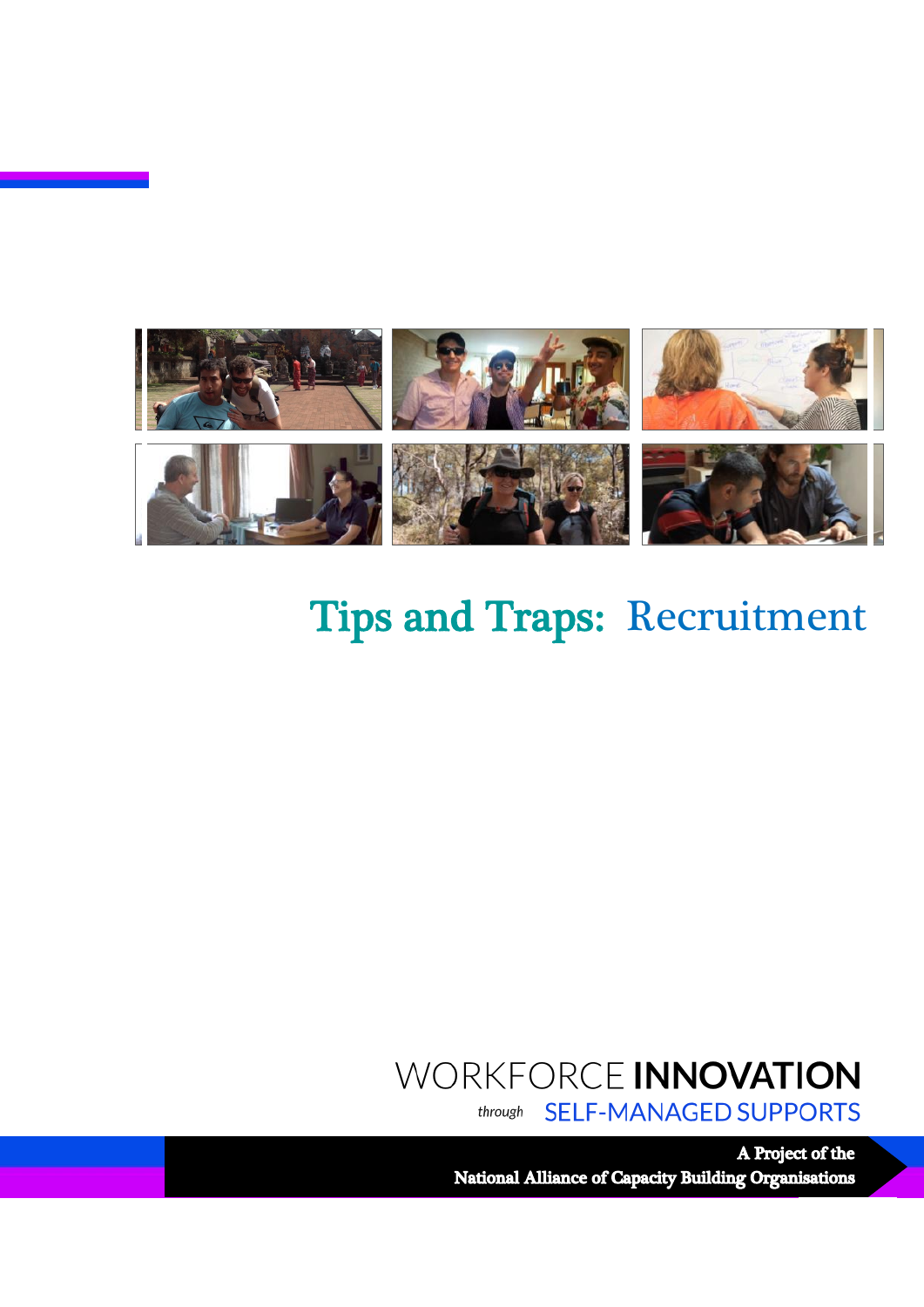

## Tips and Traps: Recruitment

# WORKFORCE INNOVATION

**SELF-MANAGED SUPPORTS** through

A Project of the National Alliance of Capacity Building Organisations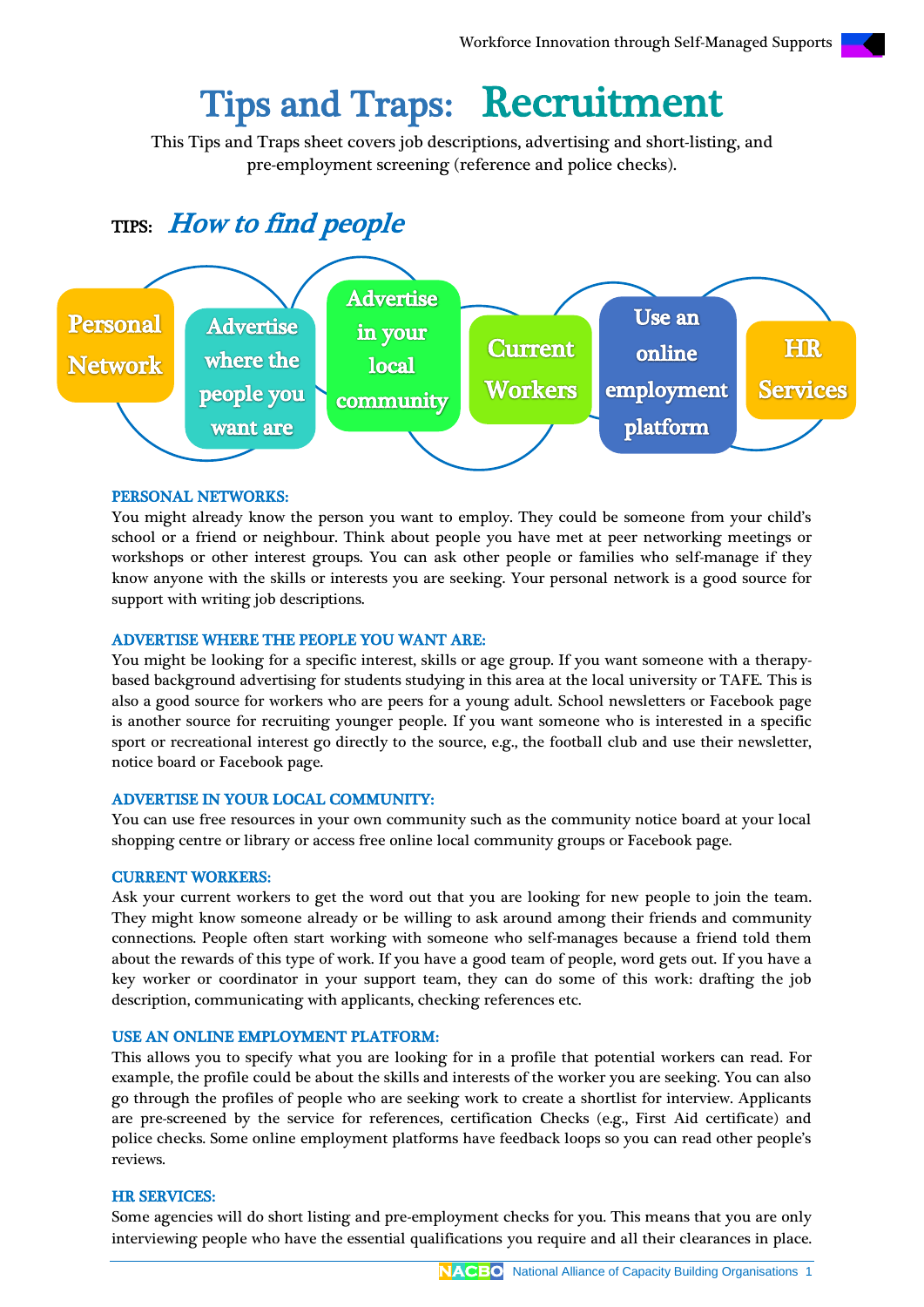## Tips and Traps: Recruitment

This Tips and Traps sheet covers job descriptions, advertising and short-listing, and pre-employment screening (reference and police checks).

### TIPS: How to find people



#### PERSONAL NETWORKS:

You might already know the person you want to employ. They could be someone from your child's school or a friend or neighbour. Think about people you have met at peer networking meetings or workshops or other interest groups. You can ask other people or families who self-manage if they know anyone with the skills or interests you are seeking. Your personal network is a good source for support with writing job descriptions.

#### ADVERTISE WHERE THE PEOPLE YOU WANT ARE:

You might be looking for a specific interest, skills or age group. If you want someone with a therapybased background advertising for students studying in this area at the local university or TAFE. This is also a good source for workers who are peers for a young adult. School newsletters or Facebook page is another source for recruiting younger people. If you want someone who is interested in a specific sport or recreational interest go directly to the source, e.g., the football club and use their newsletter, notice board or Facebook page.

#### ADVERTISE IN YOUR LOCAL COMMUNITY:

You can use free resources in your own community such as the community notice board at your local shopping centre or library or access free online local community groups or Facebook page.

#### CURRENT WORKERS:

Ask your current workers to get the word out that you are looking for new people to join the team. They might know someone already or be willing to ask around among their friends and community connections. People often start working with someone who self-manages because a friend told them about the rewards of this type of work. If you have a good team of people, word gets out. If you have a key worker or coordinator in your support team, they can do some of this work: drafting the job description, communicating with applicants, checking references etc.

#### USE AN ONLINE EMPLOYMENT PLATFORM:

This allows you to specify what you are looking for in a profile that potential workers can read. For example, the profile could be about the skills and interests of the worker you are seeking. You can also go through the profiles of people who are seeking work to create a shortlist for interview. Applicants are pre-screened by the service for references, certification Checks (e.g., First Aid certificate) and police checks. Some online employment platforms have feedback loops so you can read other people's reviews.

#### HR SERVICES:

Some agencies will do short listing and pre-employment checks for you. This means that you are only interviewing people who have the essential qualifications you require and all their clearances in place.